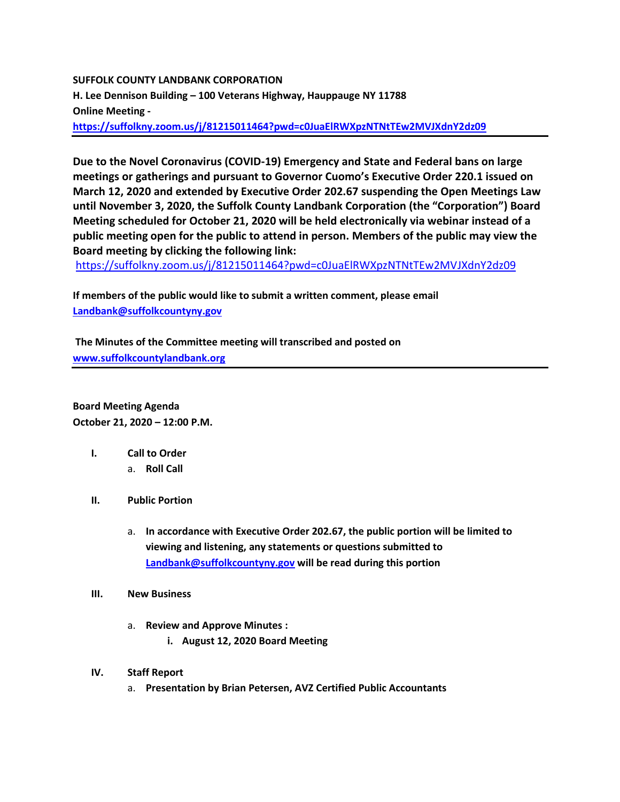#### **SUFFOLK COUNTY LANDBANK CORPORATION**

**H. Lee Dennison Building – 100 Veterans Highway, Hauppauge NY 11788 Online Meeting -**

**<https://suffolkny.zoom.us/j/81215011464?pwd=c0JuaElRWXpzNTNtTEw2MVJXdnY2dz09>**

**Due to the Novel Coronavirus (COVID-19) Emergency and State and Federal bans on large meetings or gatherings and pursuant to Governor Cuomo's Executive Order 220.1 issued on March 12, 2020 and extended by Executive Order 202.67 suspending the Open Meetings Law until November 3, 2020, the Suffolk County Landbank Corporation (the "Corporation") Board Meeting scheduled for October 21, 2020 will be held electronically via webinar instead of a public meeting open for the public to attend in person. Members of the public may view the Board meeting by clicking the following link:**

https://suffolkny.zoom.us/j/81215011464?pwd=c0JuaElRWXpzNTNtTEw2MVJXdnY2dz09

**If members of the public would like to submit a written comment, please email [Landbank@suffolkcountyny.gov](mailto:Landbank@suffolkcountyny.gov)**

**The Minutes of the Committee meeting will transcribed and posted on [www.suffolkcountylandbank.org](http://www.suffolkcountylandbank.org/)**

**Board Meeting Agenda October 21, 2020 – 12:00 P.M.**

- **I. Call to Order** 
	- a. **Roll Call**
- **II. Public Portion** 
	- a. **In accordance with Executive Order 202.67, the public portion will be limited to viewing and listening, any statements or questions submitted to [Landbank@suffolkcountyny.gov](mailto:Landbank@suffolkcountyny.gov) will be read during this portion**
- **III. New Business**
	- a. **Review and Approve Minutes :**
		- **i. August 12, 2020 Board Meeting**
- **IV. Staff Report**
	- a. **Presentation by Brian Petersen, AVZ Certified Public Accountants**